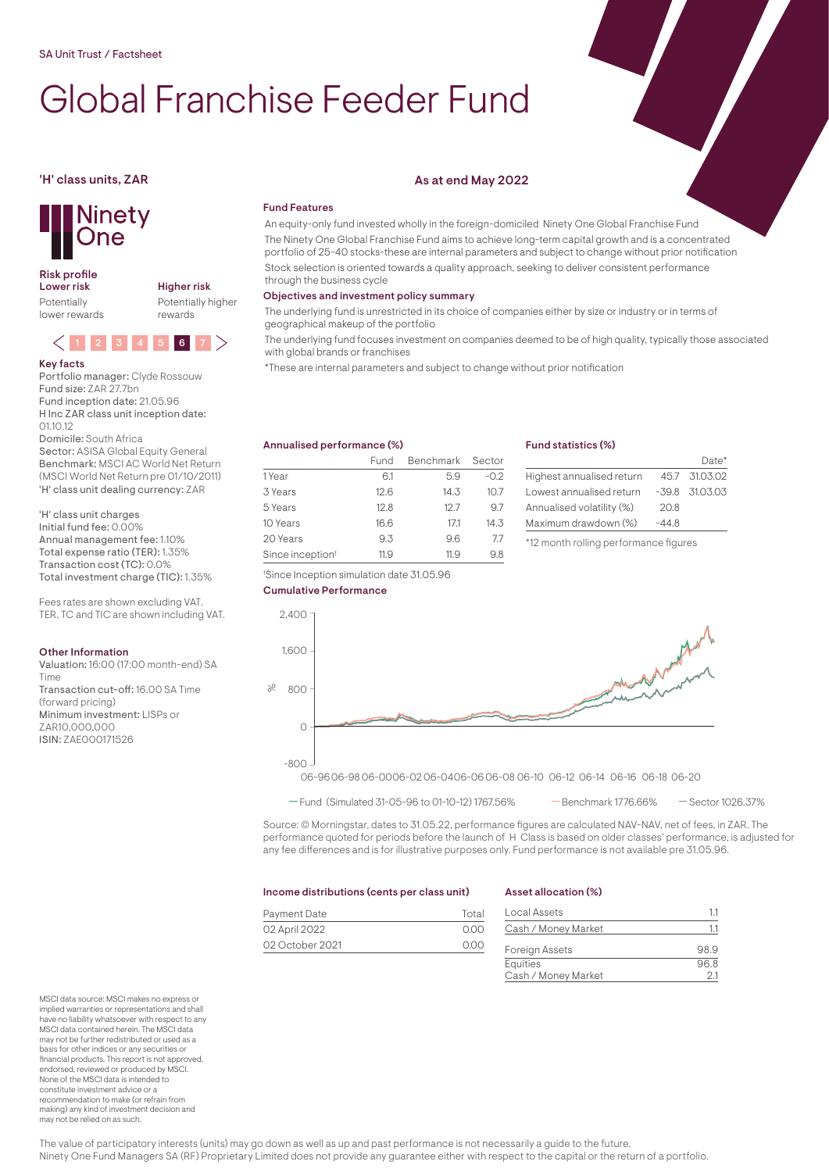# Global Franchise Feeder Fund



# Risk profile<br>Lower risk

Potentially lower rewards Higher risk Potentially higher rewards



Key facts Portfolio manager: Clyde Rossouw Fund size: ZAR 27.7bn Fund inception date: 21.05.96 H Inc ZAR class unit inception date: 01.10.12 Domicile: South Africa

Sector: ASISA Global Equity General Benchmark: MSCI AC World Net Return (MSCI World Net Return pre 01/10/2011) 'H' class unit dealing currency: ZAR

'H' class unit charges Initial fund fee: 0.00% Annual management fee: 1.10% Total expense ratio (TER): 1.35% Transaction cost (TC): 0.0% Total investment charge (TIC): 1.35%

Fees rates are shown excluding VAT. TER, TC and TIC are shown including VAT.

# Other Information

Valuation: 16:00 (17:00 month-end) SA Time Transaction cut-off: 16.00 SA Time (forward pricing) Minimum investment: LISPs or ZAR10,000,000 ISIN: ZAE000171526

# 'H' class units, ZAR As at end May 2022

# Fund Features

An equity-only fund invested wholly in the foreign-domiciled Ninety One Global Franchise Fund The Ninety One Global Franchise Fund aims to achieve long-term capital growth and is a concentrated portfolio of 25-40 stocks-these are internal parameters and subject to change without prior notification Stock selection is oriented towards a quality approach, seeking to deliver consistent performance through the business cycle

# Objectives and investment policy summary

The underlying fund is unrestricted in its choice of companies either by size or industry or in terms of geographical makeup of the portfolio

The underlying fund focuses investment on companies deemed to be of high quality, typically those associated with global brands or franchises

\*These are internal parameters and subject to change without prior notification

# Annualised performance (%)

|                              | Fund | Benchmark Sector |        |
|------------------------------|------|------------------|--------|
| 1 Year                       | 61   | 5.9              | $-0.2$ |
| 3 Years                      | 12.6 | 14.3             | 10.7   |
| 5 Years                      | 12.8 | 12.7             | 9.7    |
| 10 Years                     | 16.6 | 17.1             | 14.3   |
| 20 Years                     | 9.3  | 96               | 77     |
| Since inception <sup>t</sup> | 11.9 | 11.9             | 98     |

† Since Inception simulation date 31.05.96

# Fund statistics (%)

|                           |         | Date*              |
|---------------------------|---------|--------------------|
| Highest annualised return |         | 45.7 31.03.02      |
| Lowest annualised return  |         | $-39.8$ $31.03.03$ |
| Annualised volatility (%) | 20.8    |                    |
| Maximum drawdown (%)      | $-44.8$ |                    |
|                           |         |                    |

\*12 month rolling performance figures





 $-$  Fund (Simulated 31-05-96 to 01-10-12) 1767.56% - Benchmark 1776.66% - Sector 1026.37%

Source: © Morningstar, dates to 31.05.22, performance figures are calculated NAV-NAV, net of fees, in ZAR. The performance quoted for periods before the launch of H Class is based on older classes' performance, is adjusted for any fee differences and is for illustrative purposes only. Fund performance is not available pre 31.05.96.

# Income distributions (cents per class unit)

# Payment Date Total 02 April 2022 0.00 02 October 2021 0.00

# Asset allocation (%)

| Local Assets          | 1.1  |
|-----------------------|------|
| Cash / Money Market   | 11   |
| <b>Foreign Assets</b> | 98.9 |
| Equities              | 96.8 |
| Cash / Money Market   | 2.1  |

MSCI data source: MSCI makes no express or implied warranties or representations and shall have no liability whatsoever with respect to any MSCI data contained herein. The MSCI data may not be further redistributed or used as a basis for other indices or any securities or financial products. This report is not approved, endorsed, reviewed or produced by MSCI. None of the MSCI data is intended to constitute investment advice or a recommendation to make (or refrain from making) any kind of investment decision and may not be relied on as such.

The value of participatory interests (units) may go down as well as up and past performance is not necessarily a guide to the future. Ninety One Fund Managers SA (RF) Proprietary Limited does not provide any guarantee either with respect to the capital or the return of a portfolio.